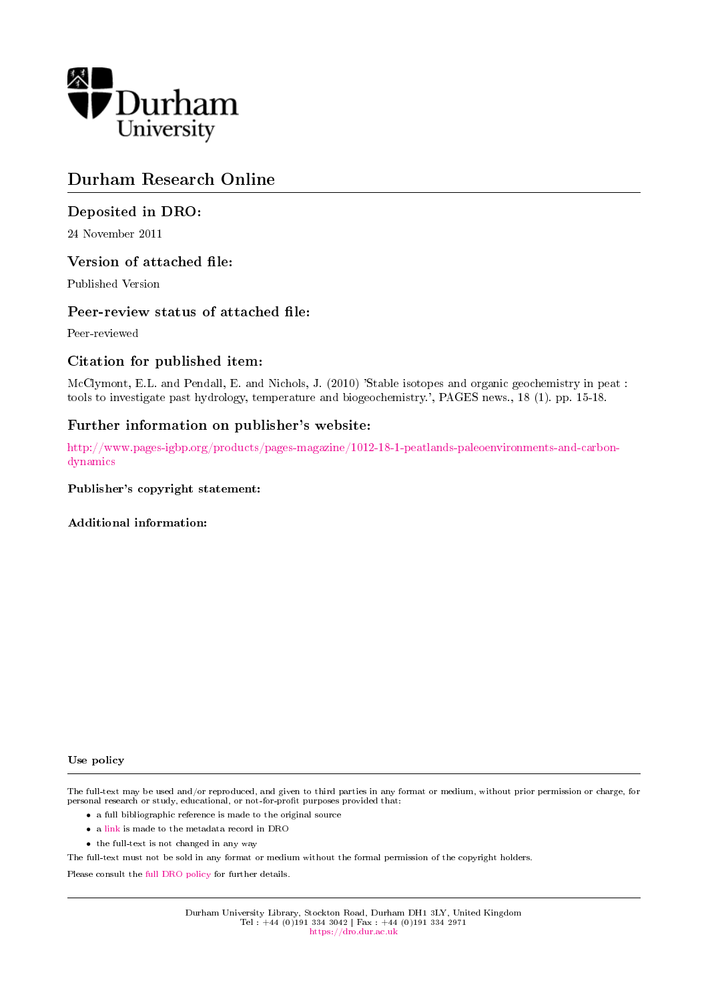

# Durham Research Online

# Deposited in DRO:

24 November 2011

# Version of attached file:

Published Version

## Peer-review status of attached file:

Peer-reviewed

# Citation for published item:

McClymont, E.L. and Pendall, E. and Nichols, J. (2010) 'Stable isotopes and organic geochemistry in peat : tools to investigate past hydrology, temperature and biogeochemistry.', PAGES news., 18 (1). pp. 15-18.

# Further information on publisher's website:

[http://www.pages-igbp.org/products/pages-magazine/1012-18-1-peatlands-paleoenvironments-and-carbon](http://www.pages-igbp.org/products/pages-magazine/1012-18-1-peatlands-paleoenvironments-and-carbon-dynamics)[dynamics](http://www.pages-igbp.org/products/pages-magazine/1012-18-1-peatlands-paleoenvironments-and-carbon-dynamics)

#### Publisher's copyright statement:

Additional information:

#### Use policy

The full-text may be used and/or reproduced, and given to third parties in any format or medium, without prior permission or charge, for personal research or study, educational, or not-for-profit purposes provided that:

- a full bibliographic reference is made to the original source
- a [link](http://dro.dur.ac.uk/8956/) is made to the metadata record in DRO
- the full-text is not changed in any way

The full-text must not be sold in any format or medium without the formal permission of the copyright holders.

Please consult the [full DRO policy](https://dro.dur.ac.uk/policies/usepolicy.pdf) for further details.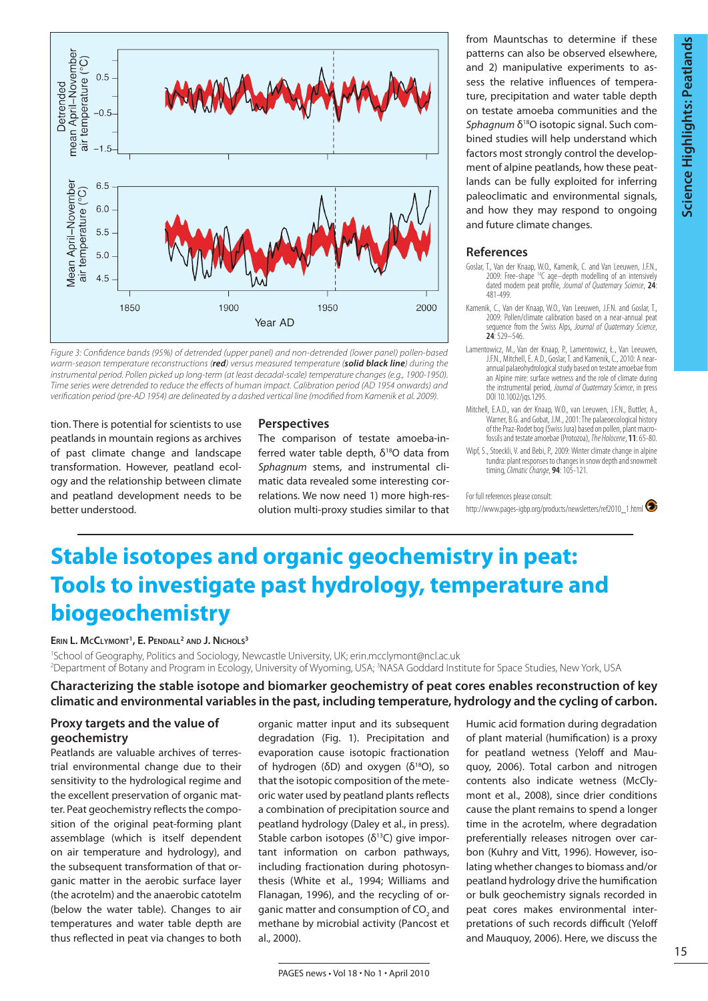

*Figure 3: Confidence bands (95%) of detrended (upper panel) and non-detrended (lower panel) pollen-based warm-season temperature reconstructions (red) versus measured temperature (solid black line) during the instrumental period. Pollen picked up long-term (at least decadal-scale) temperature changes (e.g., 1900-1950). Time series were detrended to reduce the effects of human impact. Calibration period (AD 1954 onwards) and verification period (pre-AD 1954) are delineated by a dashed vertical line (modified from Kamenik et al. 2009).*

tion. There is potential for scientists to use peatlands in mountain regions as archives of past climate change and landscape transformation. However, peatland ecology and the relationship between climate and peatland development needs to be better understood.

#### **Perspectives**

The comparison of testate amoeba-inferred water table depth,  $\delta^{18}O$  data from *Sphagnum* stems, and instrumental climatic data revealed some interesting correlations. We now need 1) more high-resolution multi-proxy studies similar to that from Mauntschas to determine if these patterns can also be observed elsewhere, and 2) manipulative experiments to assess the relative influences of temperature, precipitation and water table depth on testate amoeba communities and the *Sphagnum* δ<sup>18</sup>O isotopic signal. Such combined studies will help understand which factors most strongly control the development of alpine peatlands, how these peatlands can be fully exploited for inferring paleoclimatic and environmental signals, and how they may respond to ongoing and future climate changes.

#### **References**

- Goslar, T., Van der Knaap, W.O., Kamenik, C. and Van Leeuwen, J.F.N., 2009: Free-shape 14C age–depth modelling of an intensively dated modern peat profile, *Journal of Quaternary Science*, **24**: 481-499.
- Kamenik, C., Van der Knaap, W.O., Van Leeuwen, J.F.N. and Goslar, T., 2009: Pollen/climate calibration based on a near-annual peat sequence from the Swiss Alps, *Journal of Quaternary Science*, **24**: 529–546.
- Lamentowicz, M., Van der Knaap, P., Lamentowicz, Ł., Van Leeuwen, J.F.N., Mitchell, E. A.D., Goslar, T. and Kamenik, C., 2010: A nearannual palaeohydrological study based on testate amoebae from an Alpine mire: surface wetness and the role of climate during the instrumental period, *Journal of Quaternary Science*, in press DOI 10.1002/jqs.1295.
- Mitchell, E.A.D., van der Knaap, W.O., van Leeuwen, J.F.N., Buttler, A., Warner, B.G. and Gobat, J.M., 2001: The palaeoecological history of the Praz-Rodet bog (Swiss Jura) based on pollen, plant macro-fossils and testate amoebae (Protozoa), *The Holocene*, **11**: 65-80.
- Wipf, S., Stoeckli, V. and Bebi, P., 2009: Winter climate change in alpine tundra: plant responses to changes in snow depth and snowmelt timing, *Climatic Change*, **94**: 105-121.

For full references please consult:

http://www.pages-igbp.org/products/newsletters/ref2010\_1.html

# **Stable isotopes and organic geochemistry in peat: Tools to investigate past hydrology, temperature and biogeochemistry**

#### **Erin L. McClymont1 , E. Pendall2 and J. Nichols3**

1 School of Geography, Politics and Sociology, Newcastle University, UK; erin.mcclymont@ncl.ac.uk 2 Department of Botany and Program in Ecology, University of Wyoming, USA; 3 NASA Goddard Institute for Space Studies, New York, USA

## **Characterizing the stable isotope and biomarker geochemistry of peat cores enables reconstruction of key climatic and environmental variables in the past, including temperature, hydrology and the cycling of carbon.**

### **Proxy targets and the value of geochemistry**

Peatlands are valuable archives of terrestrial environmental change due to their sensitivity to the hydrological regime and the excellent preservation of organic matter. Peat geochemistry reflects the composition of the original peat-forming plant assemblage (which is itself dependent on air temperature and hydrology), and the subsequent transformation of that organic matter in the aerobic surface layer (the acrotelm) and the anaerobic catotelm (below the water table). Changes to air temperatures and water table depth are thus reflected in peat via changes to both

organic matter input and its subsequent degradation (Fig. 1). Precipitation and evaporation cause isotopic fractionation of hydrogen ( $\delta$ D) and oxygen ( $\delta^{18}$ O), so that the isotopic composition of the meteoric water used by peatland plants reflects a combination of precipitation source and peatland hydrology (Daley et al., in press). Stable carbon isotopes  $(\delta^{13}C)$  give important information on carbon pathways, including fractionation during photosynthesis (White et al., 1994; Williams and Flanagan, 1996), and the recycling of organic matter and consumption of CO<sub>2</sub> and methane by microbial activity (Pancost et al., 2000).

Humic acid formation during degradation of plant material (humification) is a proxy for peatland wetness (Yeloff and Mauquoy, 2006). Total carbon and nitrogen contents also indicate wetness (McClymont et al., 2008), since drier conditions cause the plant remains to spend a longer time in the acrotelm, where degradation preferentially releases nitrogen over carbon (Kuhry and Vitt, 1996). However, isolating whether changesto biomass and/or peatland hydrology drive the humification or bulk geochemistry signals recorded in peat cores makes environmental interpretations of such records difficult (Yeloff and Mauquoy, 2006). Here, we discuss the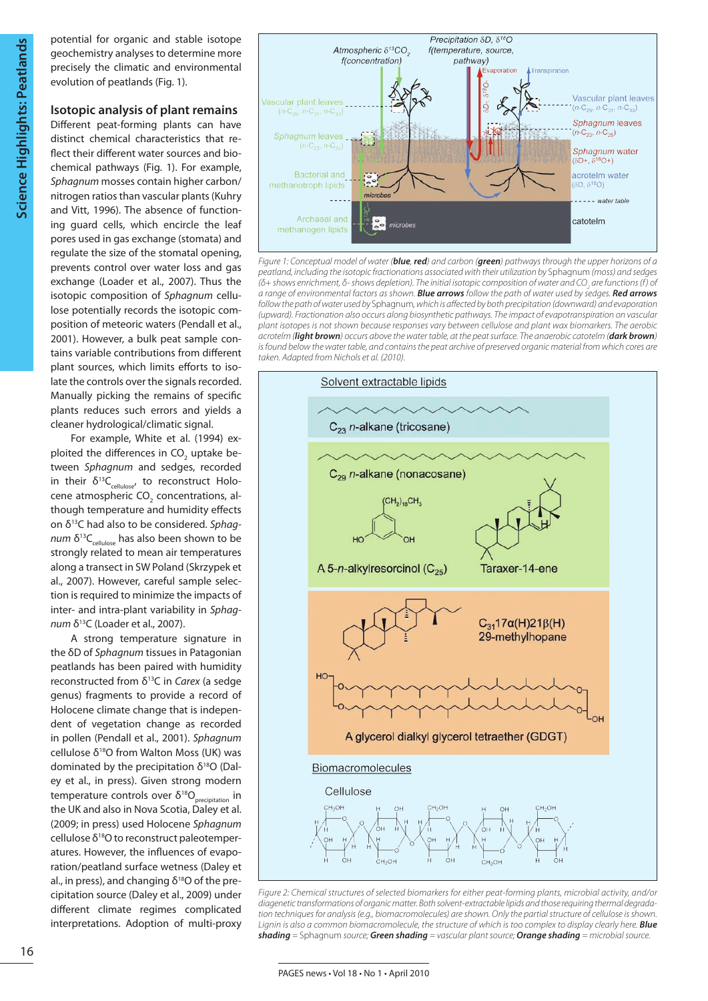potential for organic and stable isotope geochemistry analyses to determine more precisely the climatic and environmental evolution of peatlands (Fig. 1).

## **Isotopic analysis of plant remains**

Different peat-forming plants can have distinct chemical characteristics that reflect their different water sources and biochemical pathways (Fig. 1). For example, *Sphagnum* mosses contain higher carbon/ nitrogen ratios than vascular plants (Kuhry and Vitt, 1996). The absence of functioning guard cells, which encircle the leaf pores used in gas exchange (stomata) and regulate the size of the stomatal opening, prevents control over water loss and gas exchange (Loader et al., 2007). Thus the isotopic composition of *Sphagnum* cellulose potentially records the isotopic composition of meteoric waters (Pendall et al., 2001). However, a bulk peat sample contains variable contributions from different plant sources, which limits efforts to isolate the controls over the signals recorded. Manually picking the remains of specific plants reduces such errors and yields a cleaner hydrological/climatic signal.

For example, White et al. (1994) exploited the differences in CO<sub>2</sub> uptake between *Sphagnum* and sedges, recorded in their  $\delta^{13}C_{\text{cellulose}}$ , to reconstruct Holocene atmospheric  $CO<sub>2</sub>$  concentrations, although temperature and humidity effects on δ13C had also to be considered. *Sphagnum*  $\delta^{13}C_{\text{cellulose}}$  has also been shown to be strongly related to mean air temperatures along a transect in SW Poland (Skrzypek et al., 2007). However, careful sample selection is required to minimize the impacts of inter- and intra-plant variability in *Sphagnum* δ<sup>13</sup>C (Loader et al., 2007).

A strong temperature signature in the δD of *Sphagnum* tissues in Patagonian peatlands has been paired with humidity reconstructed from δ13C in *Carex* (a sedge genus) fragments to provide a record of Holocene climate change that is independent of vegetation change as recorded in pollen (Pendall et al., 2001). *Sphagnum* cellulose  $\delta^{18}O$  from Walton Moss (UK) was dominated by the precipitation  $δ<sup>18</sup>O$  (Daley et al., in press). Given strong modern  $t$ emperature controls over δ<sup>18</sup>O<sub>precipitation</sub> in the UK and also in Nova Scotia, Daley et al. (2009; in press) used Holocene *Sphagnum* cellulose  $\delta^{18}$ O to reconstruct paleotemperatures. However, the influences of evaporation/peatland surface wetness (Daley et al., in press), and changing  $\delta^{18}$ O of the precipitation source (Daley et al., 2009) under different climate regimes complicated interpretations. Adoption of multi-proxy



*Figure 1: Conceptual model of water (blue, red) and carbon (green) pathways through the upper horizons of a peatland, including the isotopic fractionations associated with their utilization by* Sphagnum *(moss) and sedges (δ+ shows enrichment, δ- shows depletion). The initial isotopic composition of water and CO<sub>2</sub> are functions (f) of a range of environmental factors as shown. Blue arrows follow the path of water used by sedges. Red arrows follow the path of water used by* Sphagnum*, which is affected by both precipitation (downward) and evaporation (upward). Fractionation also occurs along biosynthetic pathways. The impact of evapotranspiration on vascular plant isotopes is not shown because responses vary between cellulose and plant wax biomarkers. The aerobic acrotelm (light brown) occurs above the water table, at the peat surface. The anaerobic catotelm (dark brown) is found below the water table, and contains the peat archive of preserved organic material from which cores are taken. Adapted from Nichols et al. (2010).*



*Figure 2: Chemical structures of selected biomarkers for either peat-forming plants, microbial activity, and/or diagenetic transformations of organic matter. Both solvent-extractable lipids and those requiring thermal degrada*tion techniques for analysis (e.g., biomacromolecules) are shown. Only the partial structure of cellulose is shown. *Lignin is also a common biomacromolecule, the structure of which is too complex to display clearly here. Blue shading =* Sphagnum *source; Green shading = vascular plant source; Orange shading = microbial source.*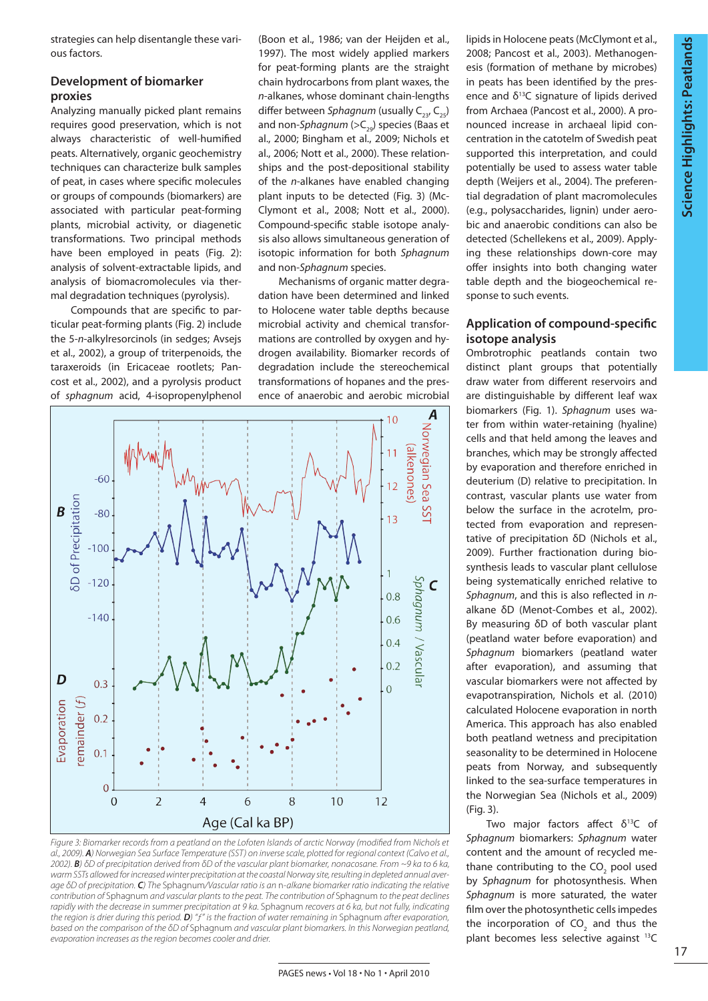strategies can help disentangle these various factors.

## **Development of biomarker proxies**

Analyzing manually picked plant remains requires good preservation, which is not always characteristic of well-humified peats. Alternatively, organic geochemistry techniques can characterize bulk samples of peat, in cases where specific molecules or groups of compounds (biomarkers) are associated with particular peat-forming plants, microbial activity, or diagenetic transformations. Two principal methods have been employed in peats (Fig. 2): analysis of solvent-extractable lipids, and analysis of biomacromolecules via thermal degradation techniques (pyrolysis).

Compounds that are specific to particular peat-forming plants (Fig. 2) include the 5-*n*-alkylresorcinols (in sedges; Avsejs et al., 2002), a group of triterpenoids, the taraxeroids (in Ericaceae rootlets; Pancost et al., 2002), and a pyrolysis product of *sphagnum* acid, 4-isopropenylphenol

(Boon et al., 1986; van der Heijden et al., 1997). The most widely applied markers for peat-forming plants are the straight chain hydrocarbons from plant waxes, the *n*-alkanes, whose dominant chain-lengths differ between *Sphagnum* (usually C<sub>23</sub>, C<sub>25</sub>) and non-*Sphagnum* (>C<sub>20</sub>) species (Baas et al., 2000; Bingham et al., 2009; Nichols et al., 2006; Nott et al., 2000). These relationships and the post-depositional stability of the *n*-alkanes have enabled changing plant inputs to be detected (Fig. 3) (Mc-Clymont et al., 2008; Nott et al., 2000). Compound-specific stable isotope analysis also allows simultaneous generation of isotopic information for both *Sphagnum* and non-*Sphagnum* species.

Mechanisms of organic matter degradation have been determined and linked to Holocene water table depths because microbial activity and chemical transformations are controlled by oxygen and hydrogen availability. Biomarker records of degradation include the stereochemical transformations of hopanes and the presence of anaerobic and aerobic microbial



*Figure 3: Biomarker records from a peatland on the Lofoten Islands of arctic Norway (modified from Nichols et al., 2009). A) Norwegian Sea Surface Temperature (SST) on inverse scale, plotted for regional context (Calvo et al., 2002). B) δD of precipitation derived from δD of the vascular plant biomarker, nonacosane. From ~9 ka to 6 ka, warm SSTs allowed for increased winter precipitation at the coastal Norway site, resulting in depleted annual average δD of precipitation. C) The* Sphagnum*/Vascular ratio is an* n*-alkane biomarker ratio indicating the relative contribution of* Sphagnum *and vascular plants to the peat. The contribution of* Sphagnum *to the peat declines rapidly with the decrease in summer precipitation at 9 ka.* Sphagnum *recovers at 6 ka, but not fully, indicating the region is drier during this period. D) "ƒ" is the fraction of water remaining in* Sphagnum *after evaporation, based on the comparison of the δD of* Sphagnum *and vascular plant biomarkers. In this Norwegian peatland, evaporation increases as the region becomes cooler and drier.*

lipids in Holocene peats (McClymont et al., 2008; Pancost et al., 2003). Methanogenesis (formation of methane by microbes) in peats has been identified by the presence and  $\delta^{13}$ C signature of lipids derived from Archaea (Pancost et al., 2000). A pronounced increase in archaeal lipid concentration in the catotelm of Swedish peat supported this interpretation, and could potentially be used to assess water table depth (Weijers et al., 2004). The preferential degradation of plant macromolecules (e.g., polysaccharides, lignin) under aerobic and anaerobic conditions can also be detected (Schellekens et al., 2009). Applying these relationships down-core may offer insights into both changing water table depth and the biogeochemical response to such events.

## **Application of compound-specific isotope analysis**

Ombrotrophic peatlands contain two distinct plant groups that potentially draw water from different reservoirs and are distinguishable by different leaf wax biomarkers (Fig. 1). *Sphagnum* uses water from within water-retaining (hyaline) cells and that held among the leaves and branches, which may be strongly affected by evaporation and therefore enriched in deuterium (D) relative to precipitation. In contrast, vascular plants use water from below the surface in the acrotelm, protected from evaporation and representative of precipitation δD (Nichols et al., 2009). Further fractionation during biosynthesis leads to vascular plant cellulose being systematically enriched relative to *Sphagnum*, and this is also reflected in *n*alkane δD (Menot-Combes et al., 2002). By measuring δD of both vascular plant (peatland water before evaporation) and *Sphagnum* biomarkers (peatland water after evaporation), and assuming that vascular biomarkers were not affected by evapotranspiration, Nichols et al. (2010) calculated Holocene evaporation in north America. This approach has also enabled both peatland wetness and precipitation seasonality to be determined in Holocene peats from Norway, and subsequently linked to the sea-surface temperatures in the Norwegian Sea (Nichols et al., 2009) (Fig. 3).

Two major factors affect δ13C of *Sphagnum* biomarkers: *Sphagnum* water content and the amount of recycled methane contributing to the CO<sub>2</sub> pool used by *Sphagnum* for photosynthesis. When *Sphagnum* is more saturated, the water film over the photosynthetic cells impedes the incorporation of  $CO<sub>2</sub>$  and thus the plant becomes less selective against <sup>13</sup>C